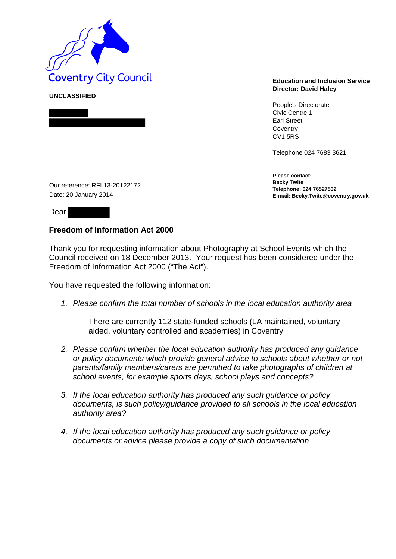

**UNCLASSIFIED** 

## **Director: David Haley**

People's Directorate Civic Centre 1 Earl Street **Coventry** CV1 5RS

Telephone 024 7683 3621

**Please contact: Becky Twite Telephone: 024 76527532 E-mail: Becky.Twite@coventry.gov.uk** 

Our reference: RFI 13-20122172 Date: 20 January 2014

Dear

## **Freedom of Information Act 2000**

Thank you for requesting information about Photography at School Events which the Council received on 18 December 2013. Your request has been considered under the Freedom of Information Act 2000 ("The Act").

You have requested the following information:

*1. Please confirm the total number of schools in the local education authority area*

There are currently 112 state-funded schools (LA maintained, voluntary aided, voluntary controlled and academies) in Coventry

- *2. Please confirm whether the local education authority has produced any guidance or policy documents which provide general advice to schools about whether or not parents/family members/carers are permitted to take photographs of children at school events, for example sports days, school plays and concepts?*
- *3. If the local education authority has produced any such guidance or policy documents, is such policy/guidance provided to all schools in the local education authority area?*
- *4. If the local education authority has produced any such guidance or policy documents or advice please provide a copy of such documentation*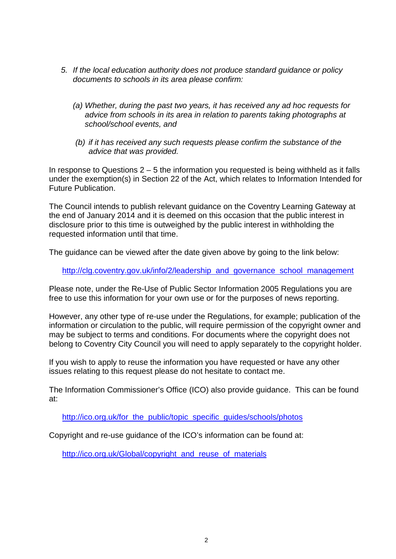- *5. If the local education authority does not produce standard guidance or policy documents to schools in its area please confirm:* 
	- *(a) Whether, during the past two years, it has received any ad hoc requests for advice from schools in its area in relation to parents taking photographs at school/school events, and*
	- *(b) if it has received any such requests please confirm the substance of the advice that was provided.*

In response to Questions 2 – 5 the information you requested is being withheld as it falls under the exemption(s) in Section 22 of the Act, which relates to Information Intended for Future Publication.

The Council intends to publish relevant guidance on the Coventry Learning Gateway at the end of January 2014 and it is deemed on this occasion that the public interest in disclosure prior to this time is outweighed by the public interest in withholding the requested information until that time.

The guidance can be viewed after the date given above by going to the link below:

http://clg.coventry.gov.uk/info/2/leadership and governance school management

Please note, under the Re-Use of Public Sector Information 2005 Regulations you are free to use this information for your own use or for the purposes of news reporting.

However, any other type of re-use under the Regulations, for example; publication of the information or circulation to the public, will require permission of the copyright owner and may be subject to terms and conditions. For documents where the copyright does not belong to Coventry City Council you will need to apply separately to the copyright holder.

If you wish to apply to reuse the information you have requested or have any other issues relating to this request please do not hesitate to contact me.

The Information Commissioner's Office (ICO) also provide guidance. This can be found at:

http://ico.org.uk/for the public/topic specific guides/schools/photos

Copyright and re-use guidance of the ICO's information can be found at:

http://ico.org.uk/Global/copyright and reuse of materials